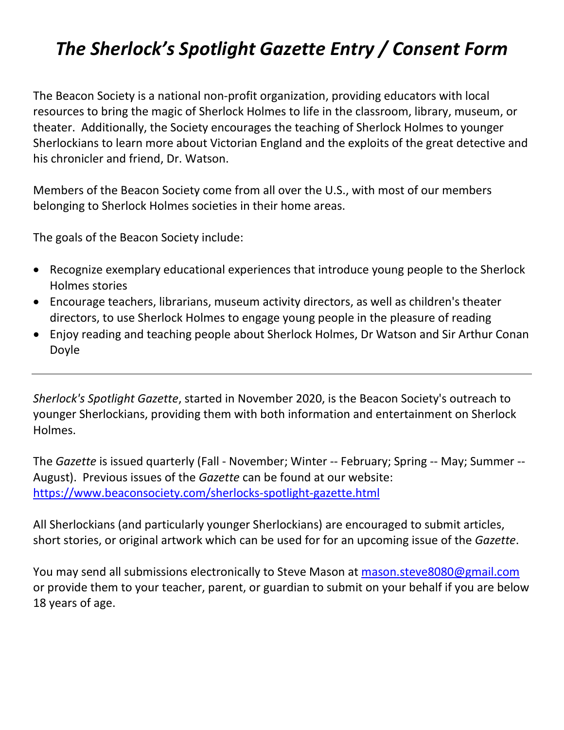## *The Sherlock's Spotlight Gazette Entry / Consent Form*

The Beacon Society is a national non-profit organization, providing educators with local resources to bring the magic of Sherlock Holmes to life in the classroom, library, museum, or theater. Additionally, the Society encourages the teaching of Sherlock Holmes to younger Sherlockians to learn more about Victorian England and the exploits of the great detective and his chronicler and friend, Dr. Watson.

Members of the Beacon Society come from all over the U.S., with most of our members belonging to Sherlock Holmes societies in their home areas.

The goals of the Beacon Society include:

- Recognize exemplary educational experiences that introduce young people to the Sherlock Holmes stories
- Encourage teachers, librarians, museum activity directors, as well as children's theater directors, to use Sherlock Holmes to engage young people in the pleasure of reading
- Enjoy reading and teaching people about Sherlock Holmes, Dr Watson and Sir Arthur Conan Doyle

*Sherlock's Spotlight Gazette*, started in November 2020, is the Beacon Society's outreach to younger Sherlockians, providing them with both information and entertainment on Sherlock Holmes.

The *Gazette* is issued quarterly (Fall - November; Winter -- February; Spring -- May; Summer -- August). Previous issues of the *Gazette* can be found at our website: <https://www.beaconsociety.com/sherlocks-spotlight-gazette.html>

All Sherlockians (and particularly younger Sherlockians) are encouraged to submit articles, short stories, or original artwork which can be used for for an upcoming issue of the *Gazette*.

You may send all submissions electronically to Steve Mason at [mason.steve8080@gmail.com](mailto:mason.steve8080@gmail.com)  or provide them to your teacher, parent, or guardian to submit on your behalf if you are below 18 years of age.